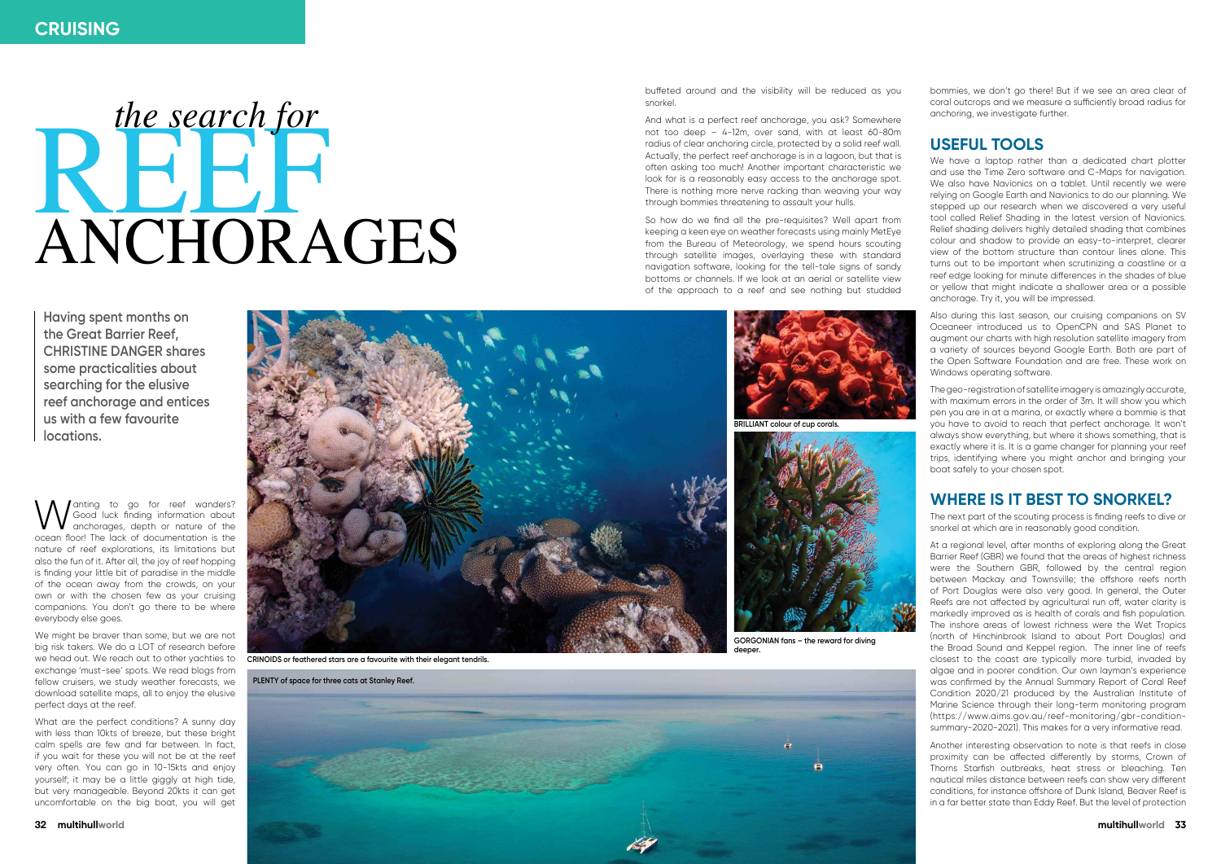

I anting to go for reef wanders? Good luck finding information about anchorages, depth or nature of the ocean floor! The lack of documentation is the nature of reef explorations, its limitations but also the fun of it. After all, the joy of reef hopping is finding your little bit of paradise in the middle of the ocean away from the crowds, on your own or with the chosen few as your cruising companions. You don't go there to be where everybody else goes.

We might be braver than some, but we are not big risk takers. We do a LOT of research before exchange 'must-see' spots. We read blogs from fellow cruisers, we study weather forecasts, we download satellite maps, all to enjoy the elusive perfect days at the reef.

What are the perfect conditions? A sunny day with less than 10kts of breeze, but these bright calm spells are few and far between. In fact, if you wait for these you will not be at the reef very often. You can go in 10-15kts and enjoy yourself; it may be a little giggly at high tide, but very manageable. Beyond 20kts it can get uncomfortable on the big boat, you will get

buffeted around and the visibility will be reduced as you snorkel.

And what is a perfect reef anchorage, you ask? Somewhere not too deep – 4-12m, over sand, with at least 60-80m radius of clear anchoring circle, protected by a solid reef wall. Actually, the perfect reef anchorage is in a lagoon, but that is often asking too much! Another important characteristic we look for is a reasonably easy access to the anchorage spot. There is nothing more nerve racking than weaving your way through bommies threatening to assault your hulls.

So how do we find all the pre-requisites? Well apart from keeping a keen eye on weather forecasts using mainly MetEye from the Bureau of Meteorology, we spend hours scouting through satellite images, overlaying these with standard navigation software, looking for the tell-tale signs of sandy bottoms or channels. If we look at an aerial or satellite view of the approach to a reef and see nothing but studded bommies, we don't go there! But if we see an area clear of coral outcrops and we measure a sufficiently broad radius for anchoring, we investigate further.

## **Useful tools**

We have a laptop rather than a dedicated chart plotter and use the Time Zero software and C-Maps for navigation. We also have Navionics on a tablet. Until recently we were relying on Google Earth and Navionics to do our planning. We stepped up our research when we discovered a very useful tool called Relief Shading in the latest version of Navionics. Relief shading delivers highly detailed shading that combines colour and shadow to provide an easy-to-interpret, clearer view of the bottom structure than contour lines alone. This turns out to be important when scrutinizing a coastline or a reef edge looking for minute differences in the shades of blue or yellow that might indicate a shallower area or a possible anchorage. Try it, you will be impressed.



we head out. We reach out to other yachties to **cRINOIDS or feathered stars are a favourite with their elegant tendrils.** 

# REEF ANCHORAGES *the search for*

Also during this last season, our cruising companions on SV Oceaneer introduced us to OpenCPN and SAS Planet to augment our charts with high resolution satellite imagery from a variety of sources beyond Google Earth. Both are part of the Open Software Foundation and are free. These work on Windows operating software.

The geo-registration of satellite imagery is amazingly accurate, with maximum errors in the order of 3m. It will show you which pen you are in at a marina, or exactly where a bommie is that you have to avoid to reach that perfect anchorage. It won't always show everything, but where it shows something, that is exactly where it is. It is a game changer for planning your reef trips, identifying where you might anchor and bringing your boat safely to your chosen spot.

## **Where is it best to snorkel?**

The next part of the scouting process is finding reefs to dive or snorkel at which are in reasonably good condition.

At a regional level, after months of exploring along the Great Barrier Reef (GBR) we found that the areas of highest richness were the Southern GBR, followed by the central region between Mackay and Townsville; the offshore reefs north of Port Douglas were also very good. In general, the Outer Reefs are not affected by agricultural run off, water clarity is markedly improved as is health of corals and fish population. The inshore areas of lowest richness were the Wet Tropics (north of Hinchinbrook Island to about Port Douglas) and the Broad Sound and Keppel region. The inner line of reefs closest to the coast are typically more turbid, invaded by algae and in poorer condition. Our own layman's experience was confirmed by the Annual Summary Report of Coral Reef Condition 2020/21 produced by the Australian Institute of Marine Science through their long-term monitoring program ([https://www.aims.gov.au/reef-monitoring/gbr-condition](https://www.aims.gov.au/reef-monitoring/gbr-condition-summary-2020-2021)[summary-2020-2021\)](https://www.aims.gov.au/reef-monitoring/gbr-condition-summary-2020-2021). This makes for a very informative read.

Another interesting observation to note is that reefs in close proximity can be affected differently by storms, Crown of Thorns Starfish outbreaks, heat stress or bleaching. Ten nautical miles distance between reefs can show very different conditions, for instance offshore of Dunk Island, Beaver Reef is in a far better state than Eddy Reef. But the level of protection

**Having spent months on the Great Barrier Reef, Christine Danger shares some practicalities about searching for the elusive reef anchorage and entices us with a few favourite locations.** 

**Plenty of space for three cats at Stanley Reef.**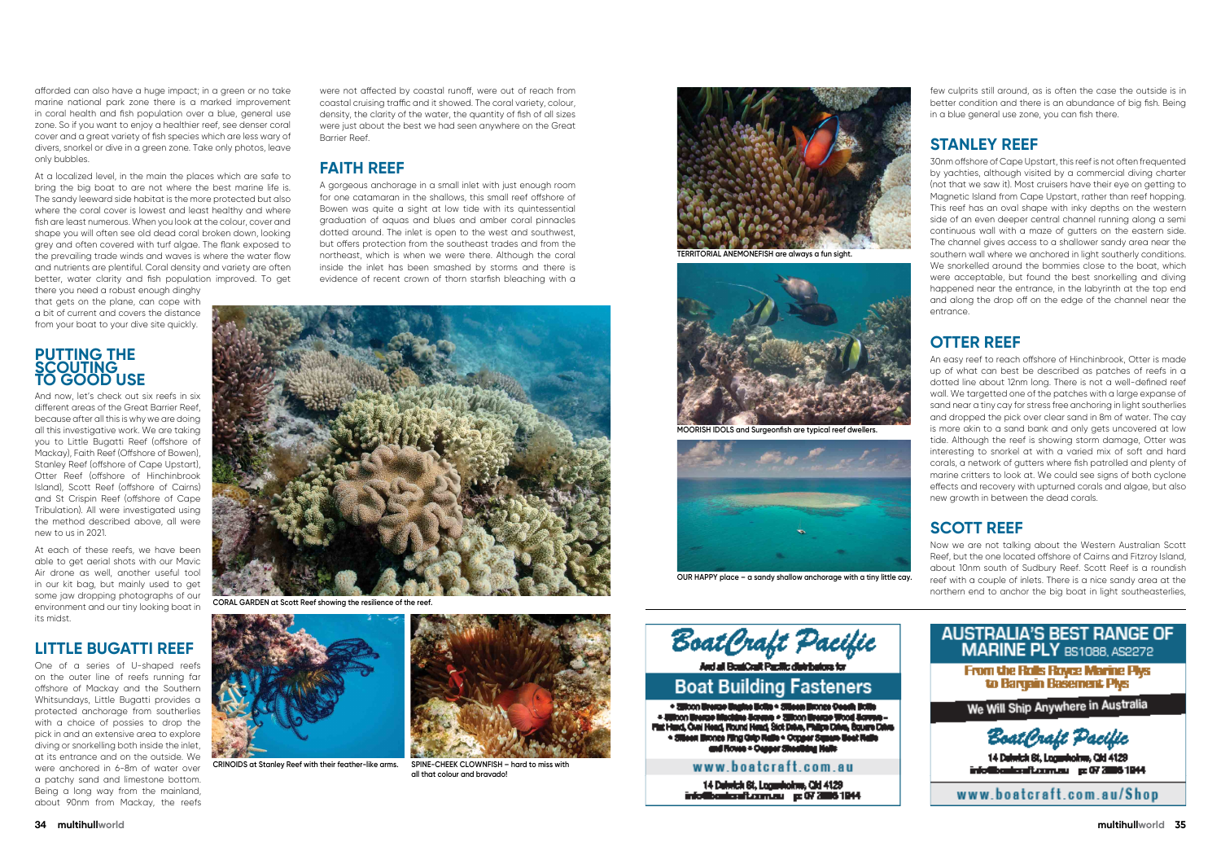afforded can also have a huge impact; in a green or no take marine national park zone there is a marked improvement in coral health and fish population over a blue, general use zone. So if you want to enjoy a healthier reef, see denser coral cover and a great variety of fish species which are less wary of divers, snorkel or dive in a green zone. Take only photos, leave only bubbles.

At a localized level, in the main the places which are safe to bring the big boat to are not where the best marine life is. The sandy leeward side habitat is the more protected but also where the coral cover is lowest and least healthy and where fish are least numerous. When you look at the colour, cover and shape you will often see old dead coral broken down, looking grey and often covered with turf algae. The flank exposed to the prevailing trade winds and waves is where the water flow and nutrients are plentiful. Coral density and variety are often better, water clarity and fish population improved. To get

there you need a robust enough dinghy that gets on the plane, can cope with a bit of current and covers the distance from your boat to your dive site quickly.

### **Putting the SCOUTIN to good use**

And now, let's check out six reefs in six different areas of the Great Barrier Reef, because after all this is why we are doing all this investigative work. We are taking you to Little Bugatti Reef (offshore of Mackay), Faith Reef (Offshore of Bowen), Stanley Reef (offshore of Cape Upstart), Otter Reef (offshore of Hinchinbrook Island), Scott Reef (offshore of Cairns) and St Crispin Reef (offshore of Cape Tribulation). All were investigated using the method described above, all were new to us in 2021.

At each of these reefs, we have been able to get aerial shots with our Mavic Air drone as well, another useful tool in our kit bag, but mainly used to get some jaw dropping photographs of our environment and our tiny looking boat in its midst.

## **Little Bugatti Reef**

One of a series of U-shaped reefs on the outer line of reefs running far offshore of Mackay and the Southern Whitsundays, Little Bugatti provides a protected anchorage from southerlies with a choice of possies to drop the pick in and an extensive area to explore diving or snorkelling both inside the inlet, at its entrance and on the outside. We were anchored in 6-8m of water over a patchy sand and limestone bottom. Being a long way from the mainland, about 90nm from Mackay, the reefs

were not affected by coastal runoff, were out of reach from coastal cruising traffic and it showed. The coral variety, colour, density, the clarity of the water, the quantity of fish of all sizes were just about the best we had seen anywhere on the Great Barrier Reef.

## **Faith Reef**

A gorgeous anchorage in a small inlet with just enough room for one catamaran in the shallows, this small reef offshore of Bowen was quite a sight at low tide with its quintessential graduation of aquas and blues and amber coral pinnacles dotted around. The inlet is open to the west and southwest, but offers protection from the southeast trades and from the northeast, which is when we were there. Although the coral inside the inlet has been smashed by storms and there is evidence of recent crown of thorn starfish bleaching with a

few culprits still around, as is often the case the outside is in better condition and there is an abundance of big fish. Being in a blue general use zone, you can fish there.

## **Stanley Reef**

30nm offshore of Cape Upstart, this reef is not often frequented by yachties, although visited by a commercial diving charter (not that we saw it). Most cruisers have their eye on getting to Magnetic Island from Cape Upstart, rather than reef hopping. This reef has an oval shape with inky depths on the western side of an even deeper central channel running along a semi continuous wall with a maze of gutters on the eastern side. The channel gives access to a shallower sandy area near the southern wall where we anchored in light southerly conditions. We snorkelled around the bommies close to the boat, which were acceptable, but found the best snorkelling and diving happened near the entrance, in the labyrinth at the top end and along the drop off on the edge of the channel near the entrance.

## **Otter Reef**

An easy reef to reach offshore of Hinchinbrook, Otter is made up of what can best be described as patches of reefs in a dotted line about 12nm long. There is not a well-defined reef wall. We targetted one of the patches with a large expanse of sand near a tiny cay for stress free anchoring in light southerlies and dropped the pick over clear sand in 8m of water. The cay is more akin to a sand bank and only gets uncovered at low tide. Although the reef is showing storm damage, Otter was interesting to snorkel at with a varied mix of soft and hard corals, a network of gutters where fish patrolled and plenty of marine critters to look at. We could see signs of both cyclone effects and recovery with upturned corals and algae, but also new growth in between the dead corals.

## **Scott Reef**

Now we are not talking about the Western Australian Scott Reef, but the one located offshore of Cairns and Fitzroy Island, about 10nm south of Sudbury Reef. Scott Reef is a roundish reef with a couple of inlets. There is a nice sandy area at the northern end to anchor the big boat in light southeasterlies,





**Coral garden at Scott Reef showing the resilience of the reef.**



**Crinoids at Stanley Reef with their feather-like arms. Spine-cheek clownfish – hard to miss with** 



**all that colour and bravado!**



**Territorial anemonefish are always a fun sight.**



**MOORISH IDOLS** and Surgeonfish are typical reef dweller



**Our happy place – a sandy shallow anchorage with a tiny little cay.**

| <b>STEP</b><br><b>Contract Contract Contract Contract Contract Contract Contract Contract Contract Contract Contract Contract Co</b> | ◢ |
|--------------------------------------------------------------------------------------------------------------------------------------|---|
| aht pr                                                                                                                               |   |

And all BoaiCoalt Pacific distributors for

# **Boat Building Fasteners**

. 2010co Uresto Ungine Uclin - 310con Uronge Ocean Bolle - Milcon Bresse Macidia Screen - 201000 Bresse Wood Screen Flat Hand, Over Head, Round Head, Sick Dates, Fhilips Dates, Bouare Dates . Sileen Bronze Fing Orig Rails . Copper Square Beat Rails<br>and Roves . Copper Sheeking Halls

### www.boatcraft.com.au

14 Delwick St, Logardolms, Old 4129 info@bonicraft.com.su p: 07 2006 1944